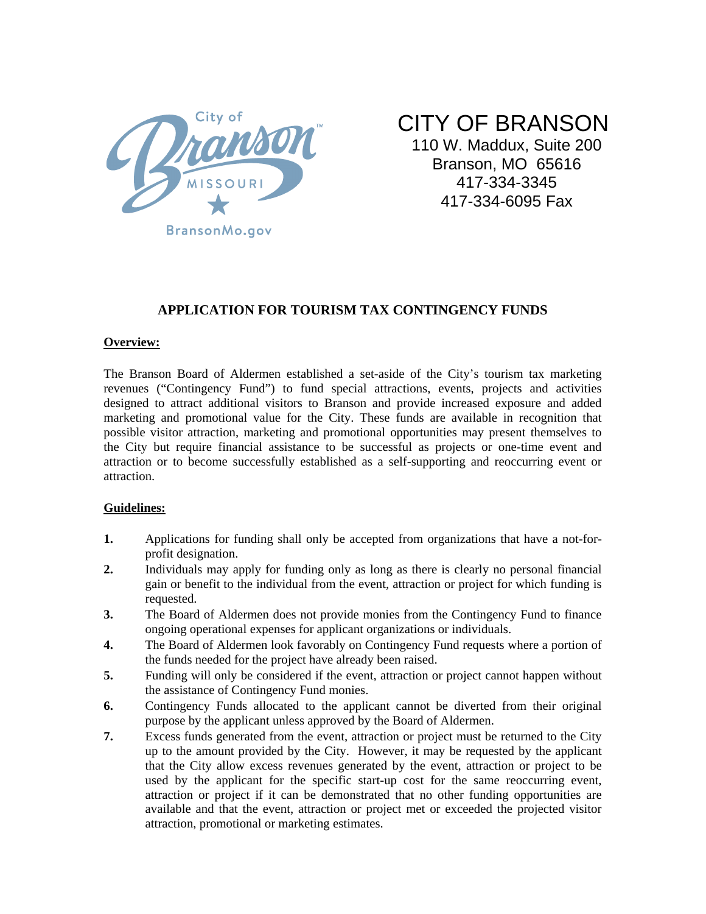

CITY OF BRANSON

110 W. Maddux, Suite 200 Branson, MO 65616 417-334-3345 417-334-6095 Fax

# **APPLICATION FOR TOURISM TAX CONTINGENCY FUNDS**

## **Overview:**

The Branson Board of Aldermen established a set-aside of the City's tourism tax marketing revenues ("Contingency Fund") to fund special attractions, events, projects and activities designed to attract additional visitors to Branson and provide increased exposure and added marketing and promotional value for the City. These funds are available in recognition that possible visitor attraction, marketing and promotional opportunities may present themselves to the City but require financial assistance to be successful as projects or one-time event and attraction or to become successfully established as a self-supporting and reoccurring event or attraction.

## **Guidelines:**

- **1.** Applications for funding shall only be accepted from organizations that have a not-forprofit designation.
- **2.** Individuals may apply for funding only as long as there is clearly no personal financial gain or benefit to the individual from the event, attraction or project for which funding is requested.
- **3.** The Board of Aldermen does not provide monies from the Contingency Fund to finance ongoing operational expenses for applicant organizations or individuals.
- **4.** The Board of Aldermen look favorably on Contingency Fund requests where a portion of the funds needed for the project have already been raised.
- **5.** Funding will only be considered if the event, attraction or project cannot happen without the assistance of Contingency Fund monies.
- **6.** Contingency Funds allocated to the applicant cannot be diverted from their original purpose by the applicant unless approved by the Board of Aldermen.
- **7.** Excess funds generated from the event, attraction or project must be returned to the City up to the amount provided by the City. However, it may be requested by the applicant that the City allow excess revenues generated by the event, attraction or project to be used by the applicant for the specific start-up cost for the same reoccurring event, attraction or project if it can be demonstrated that no other funding opportunities are available and that the event, attraction or project met or exceeded the projected visitor attraction, promotional or marketing estimates.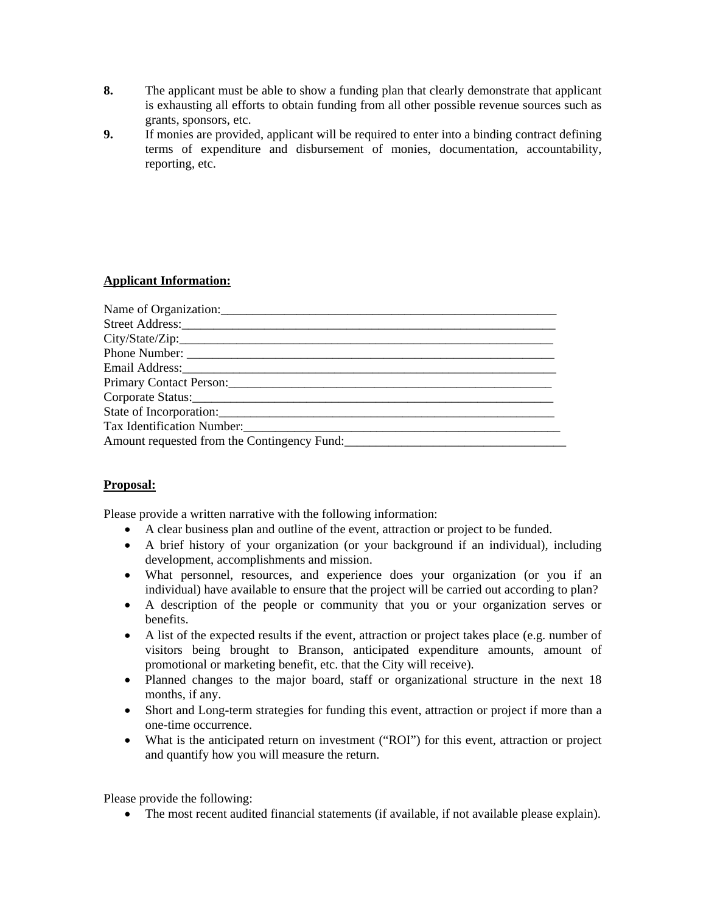- **8.** The applicant must be able to show a funding plan that clearly demonstrate that applicant is exhausting all efforts to obtain funding from all other possible revenue sources such as grants, sponsors, etc.
- **9.** If monies are provided, applicant will be required to enter into a binding contract defining terms of expenditure and disbursement of monies, documentation, accountability, reporting, etc.

## **Applicant Information:**

| Name of Organization:                                                                                                                                                                                                         |
|-------------------------------------------------------------------------------------------------------------------------------------------------------------------------------------------------------------------------------|
|                                                                                                                                                                                                                               |
|                                                                                                                                                                                                                               |
|                                                                                                                                                                                                                               |
|                                                                                                                                                                                                                               |
| Primary Contact Person: 2008 and 2008 and 2008 and 2008 and 2008 and 2008 and 2008 and 2008 and 2008 and 2008 and 2008 and 2008 and 2008 and 2008 and 2008 and 2008 and 2008 and 2008 and 2008 and 2008 and 2008 and 2008 and |
|                                                                                                                                                                                                                               |
| State of Incorporation:                                                                                                                                                                                                       |
| Tax Identification Number:                                                                                                                                                                                                    |
| Amount requested from the Contingency Fund:                                                                                                                                                                                   |

## **Proposal:**

Please provide a written narrative with the following information:

- A clear business plan and outline of the event, attraction or project to be funded.
- A brief history of your organization (or your background if an individual), including development, accomplishments and mission.
- What personnel, resources, and experience does your organization (or you if an individual) have available to ensure that the project will be carried out according to plan?
- A description of the people or community that you or your organization serves or benefits.
- A list of the expected results if the event, attraction or project takes place (e.g. number of visitors being brought to Branson, anticipated expenditure amounts, amount of promotional or marketing benefit, etc. that the City will receive).
- Planned changes to the major board, staff or organizational structure in the next 18 months, if any.
- Short and Long-term strategies for funding this event, attraction or project if more than a one-time occurrence.
- What is the anticipated return on investment ("ROI") for this event, attraction or project and quantify how you will measure the return.

Please provide the following:

• The most recent audited financial statements (if available, if not available please explain).